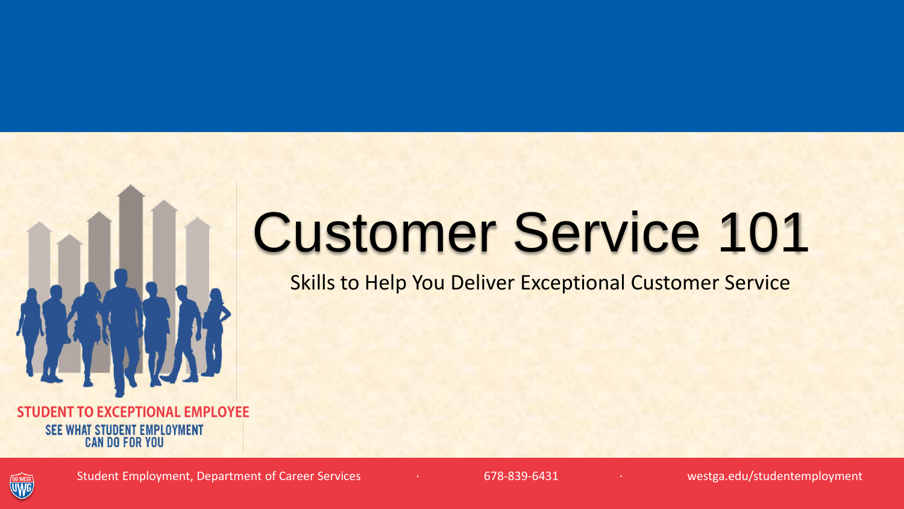# Customer Service 101

Skills to Help You Deliver Exceptional Customer Service

**STUDENT TO EXCEPTIONAL EMPLOYEE SEE WHAT STUDENT EMPLOYMENT CAN DO FOR YOU** 



Student Employment, Department of Career Services · · · · · · · · · 678-839-6431 · · · · · · · · · · · westga.edu/studentemployment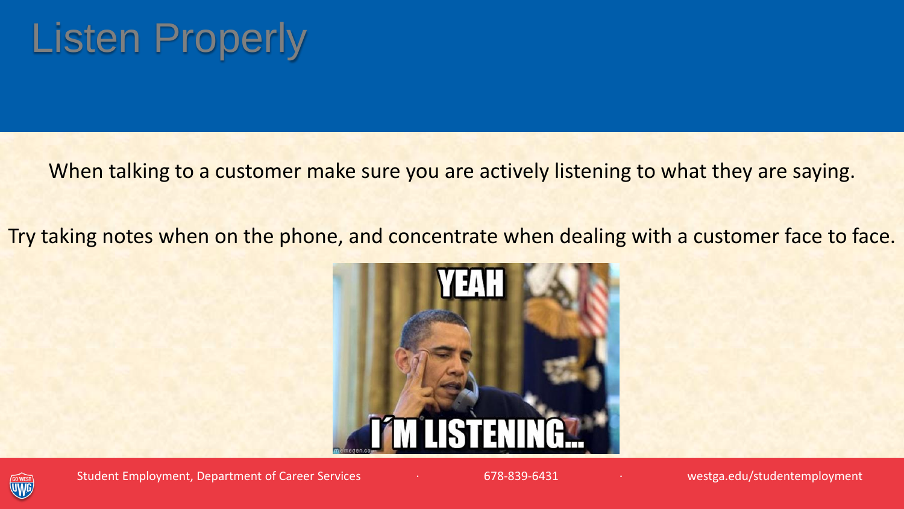#### Listen Properly

When talking to a customer make sure you are actively listening to what they are saying.

Try taking notes when on the phone, and concentrate when dealing with a customer face to face.



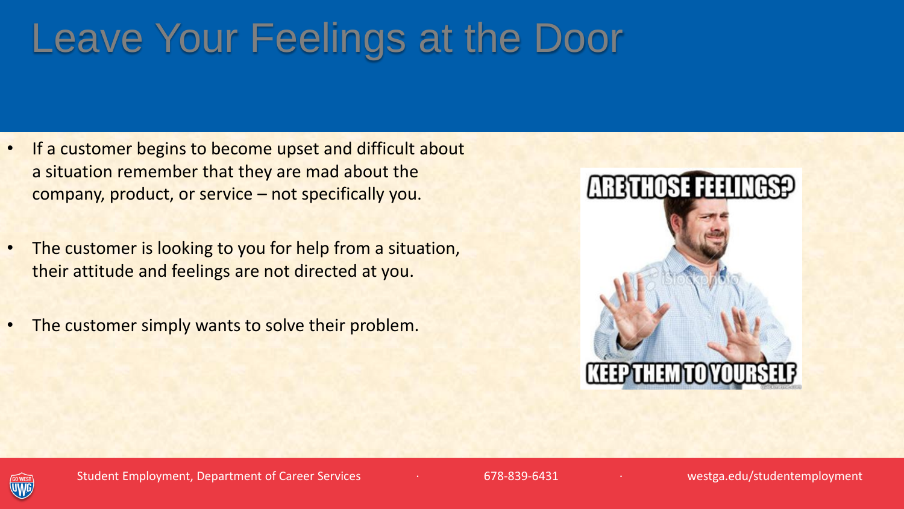#### Leave Your Feelings at the Door

- If a customer begins to become upset and difficult about a situation remember that they are mad about the company, product, or service – not specifically you.
- The customer is looking to you for help from a situation, their attitude and feelings are not directed at you.
- The customer simply wants to solve their problem.



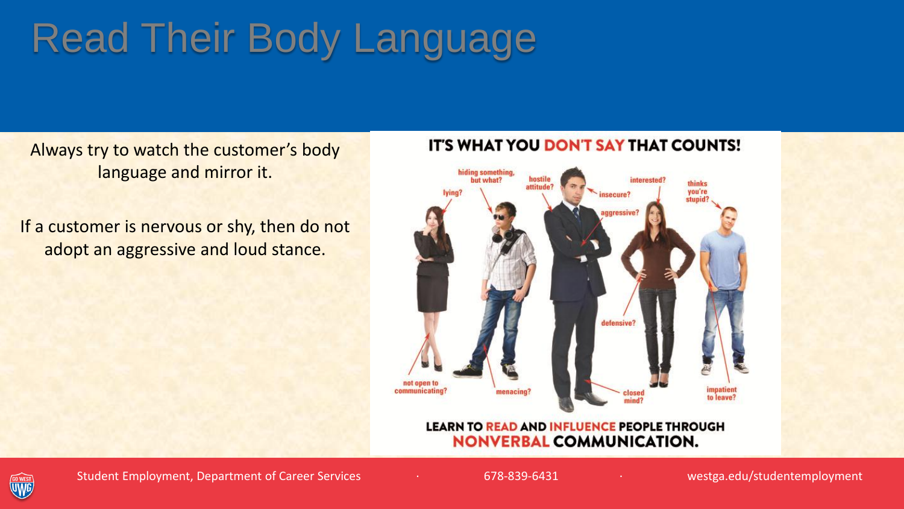## Read Their Body Language

Always try to watch the customer's body language and mirror it.

If a customer is nervous or shy, then do not adopt an aggressive and loud stance.



#### **LEARN TO READ AND INFLUENCE PEOPLE THROUGH NONVERBAL COMMUNICATION.**



Student Employment, Department of Career Services · · · · · · · · · · 678-839-6431 · · · · · · · · · · · westga.edu/studentemployment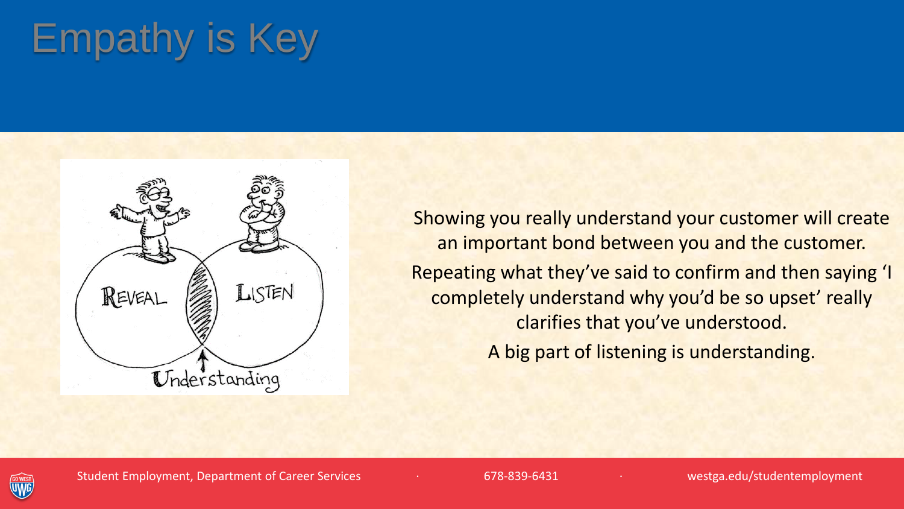### Empathy is Key



Showing you really understand your customer will create an important bond between you and the customer. Repeating what they've said to confirm and then saying 'I completely understand why you'd be so upset' really clarifies that you've understood. A big part of listening is understanding.

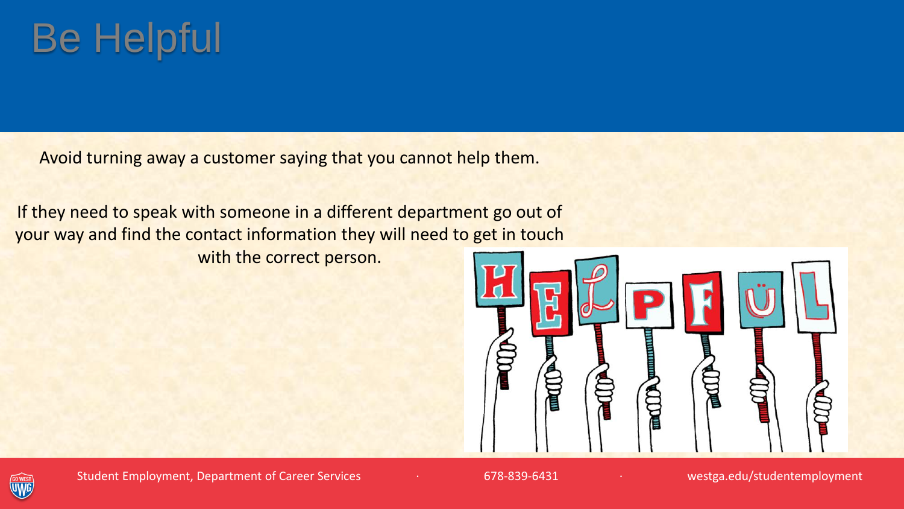#### Be Helpful

Avoid turning away a customer saying that you cannot help them.

If they need to speak with someone in a different department go out of your way and find the contact information they will need to get in touch with the correct person.



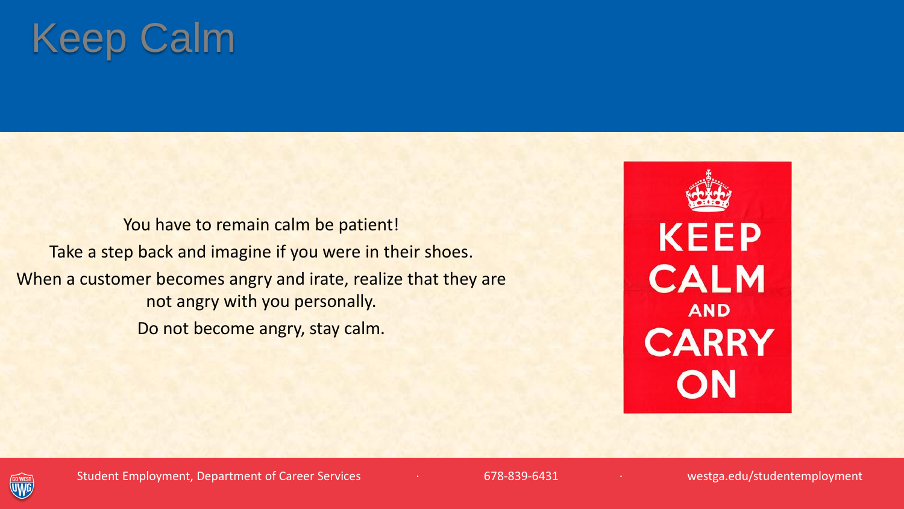#### Keep Calm

You have to remain calm be patient! Take a step back and imagine if you were in their shoes. When a customer becomes angry and irate, realize that they are not angry with you personally. Do not become angry, stay calm.

**KEEP CALM AND CARRY** ON

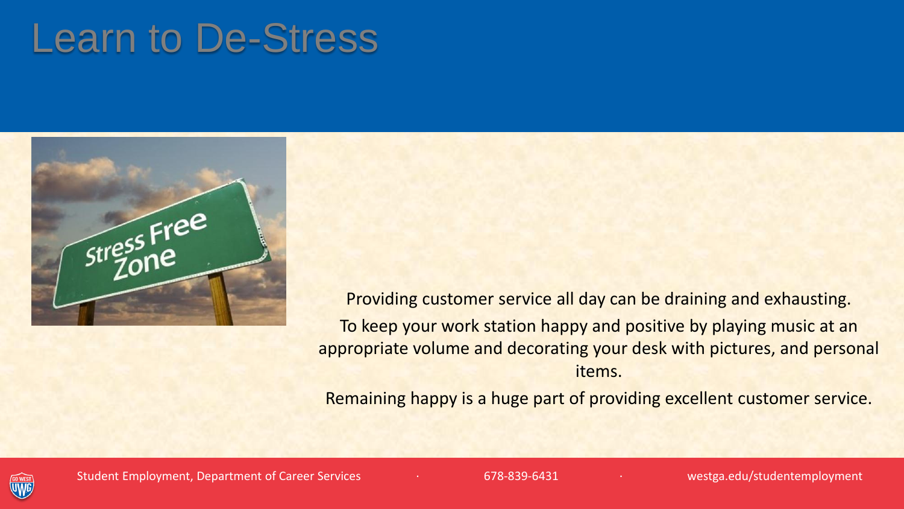#### Learn to De-Stress



Providing customer service all day can be draining and exhausting. To keep your work station happy and positive by playing music at an appropriate volume and decorating your desk with pictures, and personal items.

Remaining happy is a huge part of providing excellent customer service.

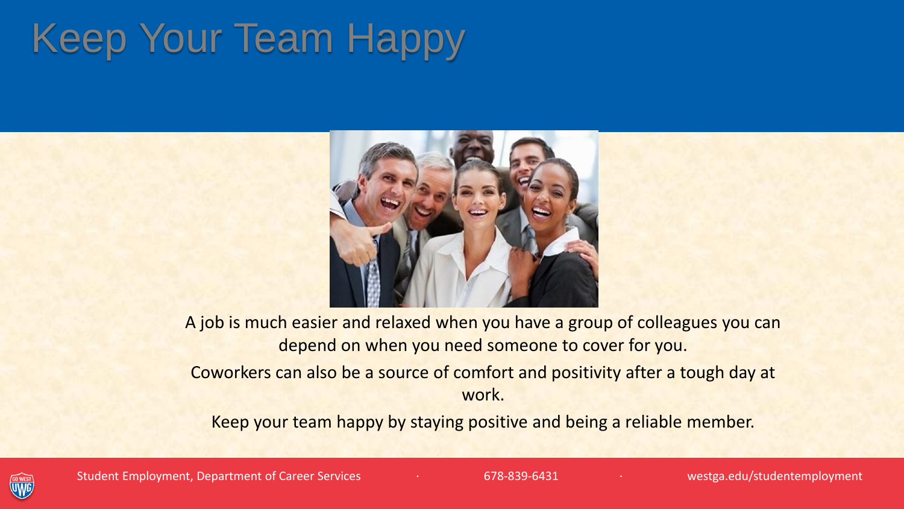## Keep Your Team Happy



A job is much easier and relaxed when you have a group of colleagues you can depend on when you need someone to cover for you.

Coworkers can also be a source of comfort and positivity after a tough day at work.

Keep your team happy by staying positive and being a reliable member.

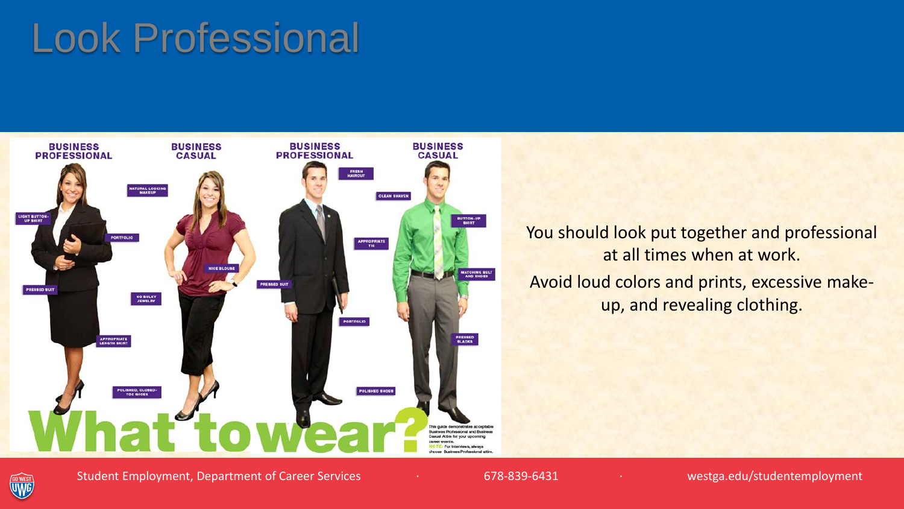#### Look Professional



You should look put together and professional at all times when at work. Avoid loud colors and prints, excessive makeup, and revealing clothing.